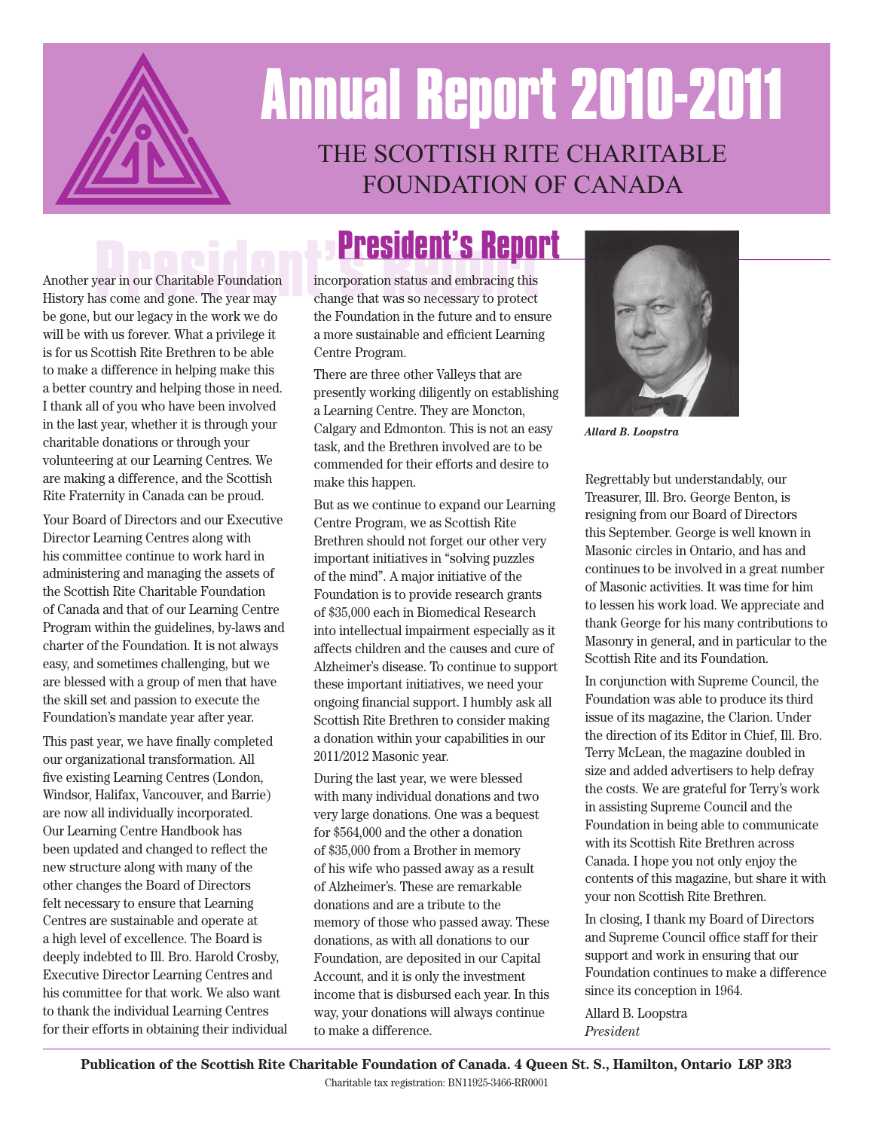

# **Annual Report 2010-2011** THE SCOTTISH RITE CHARITABLE FOUNDATION OF CANADA

Another year in our Charitable Foundation History has come and gone. The year may be gone, but our legacy in the work we do will be with us forever. What a privilege it is for us Scottish Rite Brethren to be able to make a difference in helping make this a better country and helping those in need. I thank all of you who have been involved in the last year, whether it is through your charitable donations or through your volunteering at our Learning Centres. We are making a difference, and the Scottish Rite Fraternity in Canada can be proud.

Your Board of Directors and our Executive Director Learning Centres along with his committee continue to work hard in administering and managing the assets of the Scottish Rite Charitable Foundation of Canada and that of our Learning Centre Program within the guidelines, by-laws and charter of the Foundation. It is not always easy, and sometimes challenging, but we are blessed with a group of men that have the skill set and passion to execute the Foundation's mandate year after year.

This past year, we have finally completed our organizational transformation. All five existing Learning Centres (London, Windsor, Halifax, Vancouver, and Barrie) are now all individually incorporated. Our Learning Centre Handbook has been updated and changed to reflect the new structure along with many of the other changes the Board of Directors felt necessary to ensure that Learning Centres are sustainable and operate at a high level of excellence. The Board is deeply indebted to Ill. Bro. Harold Crosby, Executive Director Learning Centres and his committee for that work. We also want to thank the individual Learning Centres for their efforts in obtaining their individual

**PRESIDENT'S REPORT**<br>
Vear in our Charitable Foundation incorporation status and embracing this<br>
as come and gone. The year may change that was so necessary to protect incorporation status and embracing this change that was so necessary to protect the Foundation in the future and to ensure a more sustainable and efficient Learning Centre Program.

> There are three other Valleys that are presently working diligently on establishing a Learning Centre. They are Moncton, Calgary and Edmonton. This is not an easy task, and the Brethren involved are to be commended for their efforts and desire to make this happen.

> But as we continue to expand our Learning Centre Program, we as Scottish Rite Brethren should not forget our other very important initiatives in "solving puzzles of the mind". A major initiative of the Foundation is to provide research grants of \$35,000 each in Biomedical Research into intellectual impairment especially as it affects children and the causes and cure of Alzheimer's disease. To continue to support these important initiatives, we need your ongoing financial support. I humbly ask all Scottish Rite Brethren to consider making a donation within your capabilities in our 2011/2012 Masonic year.

During the last year, we were blessed with many individual donations and two very large donations. One was a bequest for \$564,000 and the other a donation of \$35,000 from a Brother in memory of his wife who passed away as a result of Alzheimer's. These are remarkable donations and are a tribute to the memory of those who passed away. These donations, as with all donations to our Foundation, are deposited in our Capital Account, and it is only the investment income that is disbursed each year. In this way, your donations will always continue to make a difference.



*Allard B. Loopstra*

Regrettably but understandably, our Treasurer, Ill. Bro. George Benton, is resigning from our Board of Directors this September. George is well known in Masonic circles in Ontario, and has and continues to be involved in a great number of Masonic activities. It was time for him to lessen his work load. We appreciate and thank George for his many contributions to Masonry in general, and in particular to the Scottish Rite and its Foundation.

In conjunction with Supreme Council, the Foundation was able to produce its third issue of its magazine, the Clarion. Under the direction of its Editor in Chief, Ill. Bro. Terry McLean, the magazine doubled in size and added advertisers to help defray the costs. We are grateful for Terry's work in assisting Supreme Council and the Foundation in being able to communicate with its Scottish Rite Brethren across Canada. I hope you not only enjoy the contents of this magazine, but share it with your non Scottish Rite Brethren.

In closing, I thank my Board of Directors and Supreme Council office staff for their support and work in ensuring that our Foundation continues to make a difference since its conception in 1964.

Allard B. Loopstra *President*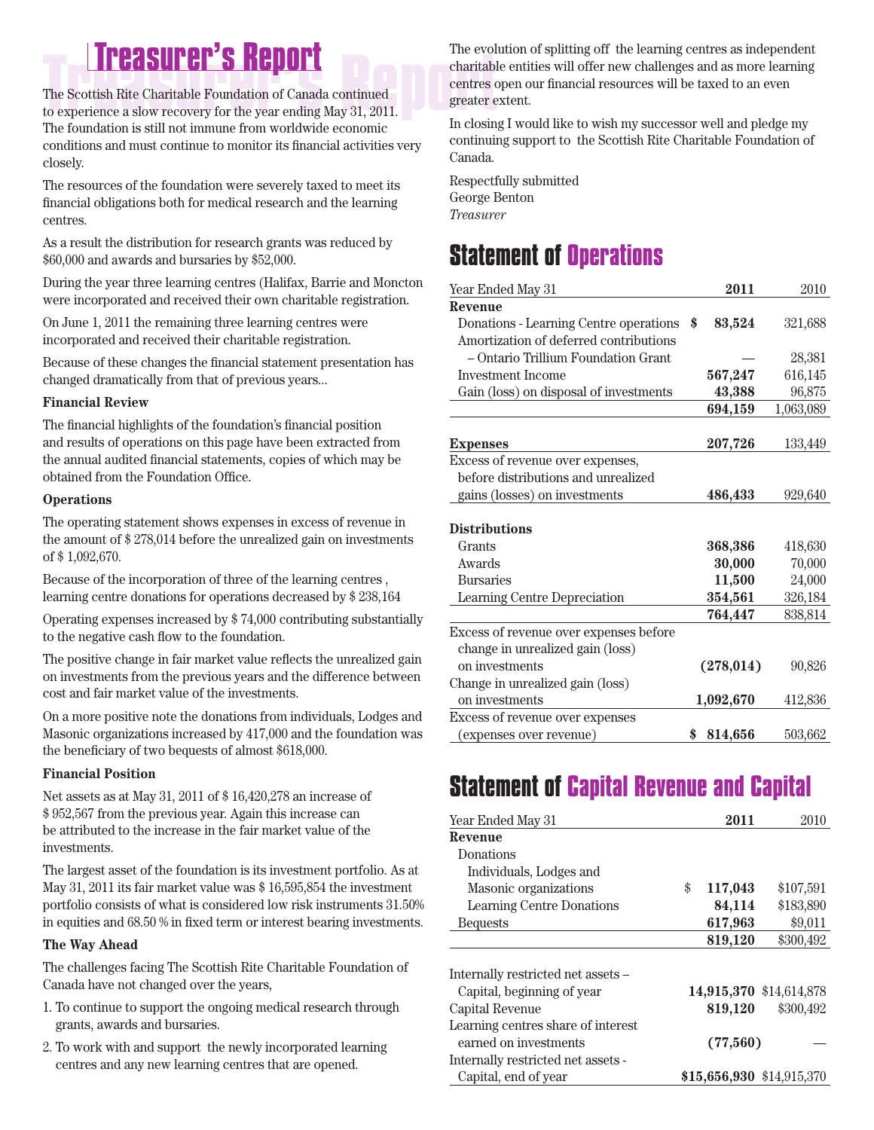## **Treasurer's Report Treasurer's Report**

The Scottish Rite Charitable Foundation of Canada continued to experience a slow recovery for the year ending May 31, 2011. The foundation is still not immune from worldwide economic conditions and must continue to monitor its financial activities very closely.

The resources of the foundation were severely taxed to meet its financial obligations both for medical research and the learning centres.

As a result the distribution for research grants was reduced by \$60,000 and awards and bursaries by \$52,000.

During the year three learning centres (Halifax, Barrie and Moncton were incorporated and received their own charitable registration.

On June 1, 2011 the remaining three learning centres were incorporated and received their charitable registration.

Because of these changes the financial statement presentation has changed dramatically from that of previous years...

### **Financial Review**

The financial highlights of the foundation's financial position and results of operations on this page have been extracted from the annual audited financial statements, copies of which may be obtained from the Foundation Office.

#### **Operations**

The operating statement shows expenses in excess of revenue in the amount of \$ 278,014 before the unrealized gain on investments of \$ 1,092,670.

Because of the incorporation of three of the learning centres , learning centre donations for operations decreased by \$ 238,164

Operating expenses increased by \$ 74,000 contributing substantially to the negative cash flow to the foundation.

The positive change in fair market value reflects the unrealized gain on investments from the previous years and the difference between cost and fair market value of the investments.

On a more positive note the donations from individuals, Lodges and Masonic organizations increased by 417,000 and the foundation was the beneficiary of two bequests of almost \$618,000.

### **Financial Position**

Net assets as at May 31, 2011 of \$ 16,420,278 an increase of \$ 952,567 from the previous year. Again this increase can be attributed to the increase in the fair market value of the investments.

The largest asset of the foundation is its investment portfolio. As at May 31, 2011 its fair market value was \$ 16,595,854 the investment portfolio consists of what is considered low risk instruments 31.50% in equities and 68.50 % in fixed term or interest bearing investments.

### **The Way Ahead**

The challenges facing The Scottish Rite Charitable Foundation of Canada have not changed over the years,

- 1. To continue to support the ongoing medical research through grants, awards and bursaries.
- 2. To work with and support the newly incorporated learning centres and any new learning centres that are opened.

The evolution of splitting off the learning centres as independent charitable entities will offer new challenges and as more learning centres open our financial resources will be taxed to an even greater extent.

In closing I would like to wish my successor well and pledge my continuing support to the Scottish Rite Charitable Foundation of Canada.

Respectfully submitted George Benton *Treasurer*

### **Statement of Operations**

| Year Ended May 31                      | 2011          | 2010      |
|----------------------------------------|---------------|-----------|
| Revenue                                |               |           |
| Donations - Learning Centre operations | \$<br>83,524  | 321,688   |
| Amortization of deferred contributions |               |           |
| - Ontario Trillium Foundation Grant    |               | 28,381    |
| <b>Investment Income</b>               | 567,247       | 616,145   |
| Gain (loss) on disposal of investments | 43,388        | 96,875    |
|                                        | 694,159       | 1,063,089 |
|                                        |               |           |
| <b>Expenses</b>                        | 207,726       | 133,449   |
| Excess of revenue over expenses,       |               |           |
| before distributions and unrealized    |               |           |
| gains (losses) on investments          | 486,433       | 929,640   |
|                                        |               |           |
| <b>Distributions</b>                   |               |           |
| Grants                                 | 368,386       | 418,630   |
| Awards                                 | 30,000        | 70,000    |
| <b>Bursaries</b>                       | 11,500        | 24,000    |
| Learning Centre Depreciation           | 354,561       | 326,184   |
|                                        | 764,447       | 838,814   |
| Excess of revenue over expenses before |               |           |
| change in unrealized gain (loss)       |               |           |
| on investments                         | (278, 014)    | 90,826    |
| Change in unrealized gain (loss)       |               |           |
| on investments                         | 1,092,670     | 412,836   |
| Excess of revenue over expenses        |               |           |
| (expenses over revenue)                | \$<br>814,656 | 503,662   |

### **Statement of Capital Revenue and Capital**

| Year Ended May 31                  | 2011                      | 2010                    |
|------------------------------------|---------------------------|-------------------------|
| Revenue                            |                           |                         |
| Donations                          |                           |                         |
| Individuals, Lodges and            |                           |                         |
| Masonic organizations              | \$<br>117,043             | \$107,591               |
| <b>Learning Centre Donations</b>   | 84,114                    | \$183,890               |
| <b>Bequests</b>                    | 617,963                   | \$9,011                 |
|                                    | 819,120                   | \$300,492               |
|                                    |                           |                         |
| Internally restricted net assets – |                           |                         |
| Capital, beginning of year         |                           | 14,915,370 \$14,614,878 |
| Capital Revenue                    | 819,120                   | \$300,492               |
| Learning centres share of interest |                           |                         |
| earned on investments              | (77,560)                  |                         |
| Internally restricted net assets - |                           |                         |
| Capital, end of year               | \$15,656,930 \$14,915,370 |                         |
|                                    |                           |                         |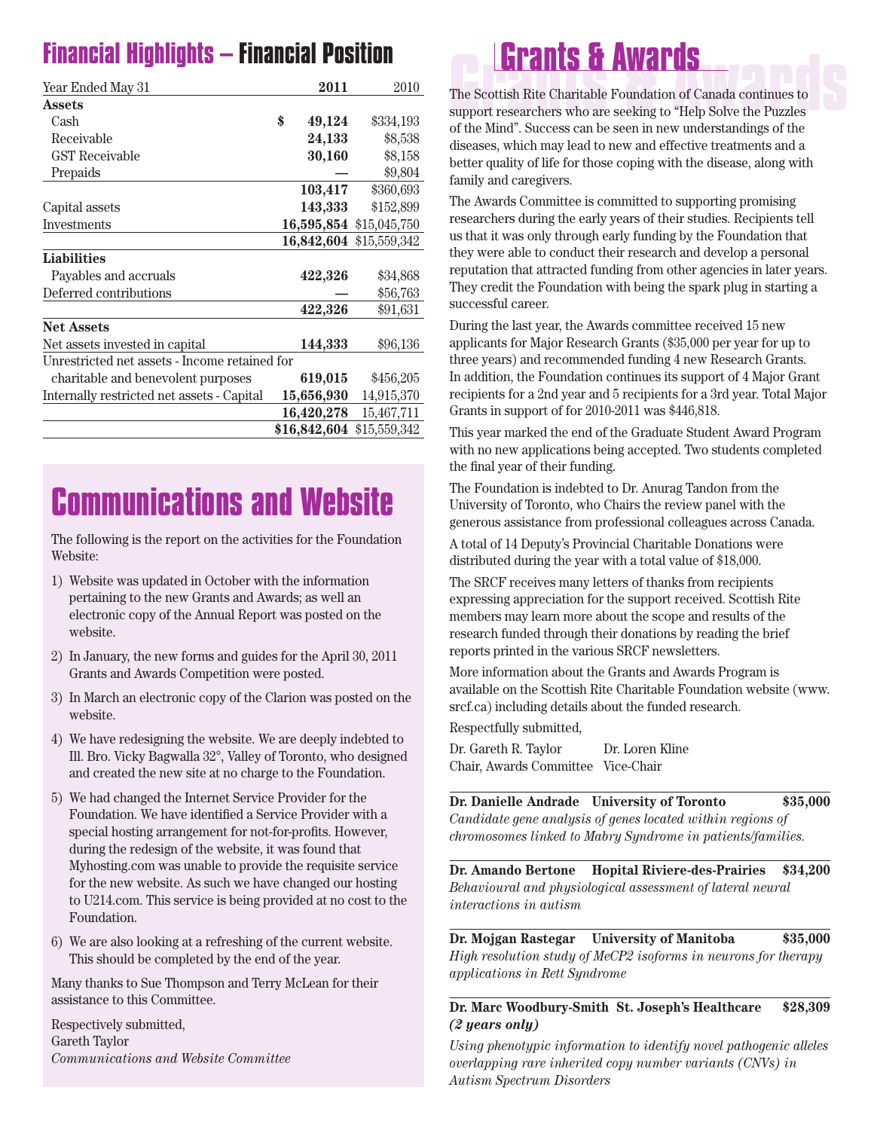## **Financial Highlights – Financial Position**

| Year Ended May 31                             |    | 2011         | 2010                    |  |  |
|-----------------------------------------------|----|--------------|-------------------------|--|--|
| <b>Assets</b>                                 |    |              |                         |  |  |
| Cash                                          | \$ | 49,124       | \$334,193               |  |  |
| Receivable                                    |    | 24,133       | \$8,538                 |  |  |
| <b>GST Receivable</b>                         |    | 30,160       | \$8,158                 |  |  |
| Prepaids                                      |    |              | \$9,804                 |  |  |
|                                               |    | 103,417      | \$360,693               |  |  |
| Capital assets                                |    | 143,333      | \$152,899               |  |  |
| Investments                                   |    |              | 16,595,854 \$15,045,750 |  |  |
|                                               |    | 16,842,604   | \$15,559,342            |  |  |
| <b>Liabilities</b>                            |    |              |                         |  |  |
| Payables and accruals                         |    | 422,326      | \$34,868                |  |  |
| Deferred contributions                        |    |              | \$56,763                |  |  |
|                                               |    | 422,326      | \$91,631                |  |  |
| <b>Net Assets</b>                             |    |              |                         |  |  |
| Net assets invested in capital                |    | 144,333      | \$96,136                |  |  |
| Unrestricted net assets - Income retained for |    |              |                         |  |  |
| charitable and benevolent purposes            |    | 619,015      | \$456,205               |  |  |
| Internally restricted net assets - Capital    |    | 15,656,930   | 14,915,370              |  |  |
|                                               |    | 16,420,278   | 15,467,711              |  |  |
|                                               |    | \$16,842,604 | \$15,559,342            |  |  |

## **Communications and Website**

The following is the report on the activities for the Foundation Website:

- 1) Website was updated in October with the information pertaining to the new Grants and Awards; as well an electronic copy of the Annual Report was posted on the website.
- 2) In January, the new forms and guides for the April 30, 2011 Grants and Awards Competition were posted.
- 3) In March an electronic copy of the Clarion was posted on the website.
- 4) We have redesigning the website. We are deeply indebted to Ill. Bro. Vicky Bagwalla 32°, Valley of Toronto, who designed and created the new site at no charge to the Foundation.
- 5) We had changed the Internet Service Provider for the Foundation. We have identified a Service Provider with a special hosting arrangement for not-for-profits. However, during the redesign of the website, it was found that Myhosting.com was unable to provide the requisite service for the new website. As such we have changed our hosting to U214.com. This service is being provided at no cost to the Foundation.
- 6) We are also looking at a refreshing of the current website. This should be completed by the end of the year.

Many thanks to Sue Thompson and Terry McLean for their assistance to this Committee.

Respectively submitted, Gareth Taylor *Communications and Website Committee*

## **Grants & Awards Grants & Awards**

The Scottish Rite Charitable Foundation of Canada continues to support researchers who are seeking to "Help Solve the Puzzles of the Mind". Success can be seen in new understandings of the diseases, which may lead to new and effective treatments and a better quality of life for those coping with the disease, along with family and caregivers.

The Awards Committee is committed to supporting promising researchers during the early years of their studies. Recipients tell us that it was only through early funding by the Foundation that they were able to conduct their research and develop a personal reputation that attracted funding from other agencies in later years. They credit the Foundation with being the spark plug in starting a successful career.

During the last year, the Awards committee received 15 new applicants for Major Research Grants (\$35,000 per year for up to three years) and recommended funding 4 new Research Grants. In addition, the Foundation continues its support of 4 Major Grant recipients for a 2nd year and 5 recipients for a 3rd year. Total Major Grants in support of for 2010-2011 was \$446,818.

This year marked the end of the Graduate Student Award Program with no new applications being accepted. Two students completed the final year of their funding.

The Foundation is indebted to Dr. Anurag Tandon from the University of Toronto, who Chairs the review panel with the generous assistance from professional colleagues across Canada.

A total of 14 Deputy's Provincial Charitable Donations were distributed during the year with a total value of \$18,000.

The SRCF receives many letters of thanks from recipients expressing appreciation for the support received. Scottish Rite members may learn more about the scope and results of the research funded through their donations by reading the brief reports printed in the various SRCF newsletters.

More information about the Grants and Awards Program is available on the Scottish Rite Charitable Foundation website (www. srcf.ca) including details about the funded research.

Respectfully submitted,

Dr. Gareth R. Taylor Dr. Loren Kline Chair, Awards Committee Vice-Chair

**Dr. Danielle Andrade University of Toronto \$35,000**

*Candidate gene analysis of genes located within regions of chromosomes linked to Mabry Syndrome in patients/families.*

**Dr. Amando Bertone Hopital Riviere-des-Prairies \$34,200** *Behavioural and physiological assessment of lateral neural interactions in autism*

**Dr. Mojgan Rastegar University of Manitoba \$35,000** *High resolution study of MeCP2 isoforms in neurons for therapy applications in Rett Syndrome*

**Dr. Marc Woodbury-Smith St. Joseph's Healthcare \$28,309** *(2 years only)*

*Using phenotypic information to identify novel pathogenic alleles overlapping rare inherited copy number variants (CNVs) in Autism Spectrum Disorders*